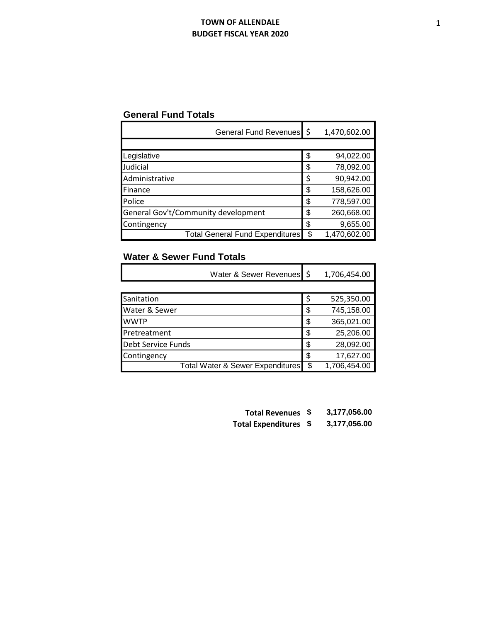## **TOWN OF ALLENDALE BUDGET FISCAL YEAR 2020**

## **General Fund Totals**

| General Fund Revenues \$               |    | 1,470,602.00 |
|----------------------------------------|----|--------------|
|                                        |    |              |
| Legislative                            | \$ | 94,022.00    |
| Judicial                               | \$ | 78,092.00    |
| Administrative                         | Ś  | 90,942.00    |
| Finance                                | \$ | 158,626.00   |
| Police                                 | \$ | 778,597.00   |
| General Gov't/Community development    | \$ | 260,668.00   |
| Contingency                            | \$ | 9,655.00     |
| <b>Total General Fund Expenditures</b> | ß. | 1,470,602.00 |

## **Water & Sewer Fund Totals**

|                           | Water & Sewer Revenues \$        |    | 1,706,454.00 |
|---------------------------|----------------------------------|----|--------------|
|                           |                                  |    |              |
| Sanitation                |                                  | S  | 525,350.00   |
| Water & Sewer             |                                  | \$ | 745,158.00   |
| <b>WWTP</b>               |                                  | \$ | 365,021.00   |
| Pretreatment              |                                  | \$ | 25,206.00    |
| <b>Debt Service Funds</b> |                                  | \$ | 28,092.00    |
| Contingency               |                                  | \$ | 17,627.00    |
|                           | Total Water & Sewer Expenditures |    | 1,706,454.00 |

- **Total Revenues \$ 3,177,056.00**
- **Total Expenditures \$ 3,177,056.00**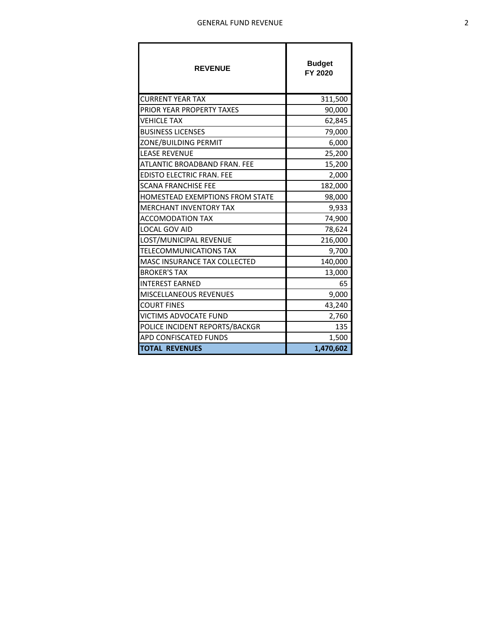| <b>REVENUE</b>                         | <b>Budget</b><br>FY 2020 |
|----------------------------------------|--------------------------|
| <b>CURRENT YEAR TAX</b>                | 311,500                  |
| PRIOR YEAR PROPERTY TAXES              | 90,000                   |
| <b>VEHICLE TAX</b>                     | 62,845                   |
| <b>BUSINESS LICENSES</b>               | 79,000                   |
| ZONE/BUILDING PERMIT                   | 6,000                    |
| <b>LEASE REVENUE</b>                   | 25,200                   |
| ATLANTIC BROADBAND FRAN. FEE           | 15,200                   |
| <b>EDISTO ELECTRIC FRAN. FEE</b>       | 2,000                    |
| <b>SCANA FRANCHISE FEE</b>             | 182,000                  |
| <b>HOMESTEAD EXEMPTIONS FROM STATE</b> | 98,000                   |
| <b>MERCHANT INVENTORY TAX</b>          | 9,933                    |
| <b>ACCOMODATION TAX</b>                | 74,900                   |
| <b>LOCAL GOV AID</b>                   | 78,624                   |
| LOST/MUNICIPAL REVENUE                 | 216,000                  |
| <b>TELECOMMUNICATIONS TAX</b>          | 9,700                    |
| MASC INSURANCE TAX COLLECTED           | 140,000                  |
| <b>BROKER'S TAX</b>                    | 13,000                   |
| <b>INTEREST EARNED</b>                 | 65                       |
| <b>MISCELLANEOUS REVENUES</b>          | 9,000                    |
| <b>COURT FINES</b>                     | 43,240                   |
| VICTIMS ADVOCATE FUND                  | 2,760                    |
| POLICE INCIDENT REPORTS/BACKGR         | 135                      |
| APD CONFISCATED FUNDS                  | 1,500                    |
| <b>TOTAL REVENUES</b>                  | 1,470,602                |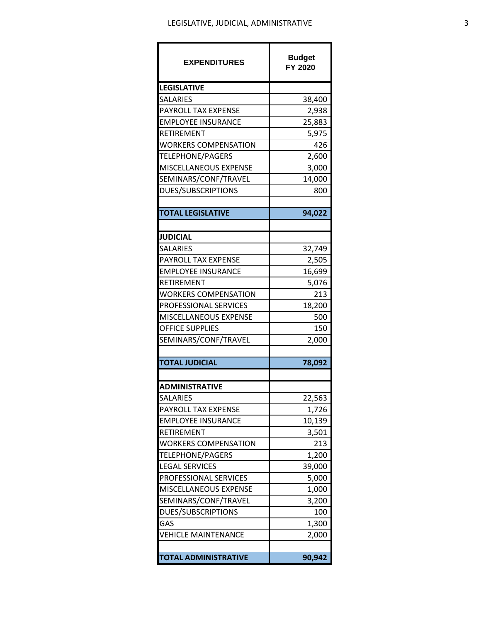| <b>EXPENDITURES</b>         | <b>Budget</b><br>FY 2020 |
|-----------------------------|--------------------------|
| <b>LEGISLATIVE</b>          |                          |
| <b>SALARIES</b>             | 38,400                   |
| PAYROLL TAX EXPENSE         | 2,938                    |
| <b>EMPLOYEE INSURANCE</b>   | 25,883                   |
| RETIREMENT                  | 5,975                    |
| WORKERS COMPENSATION        | 426                      |
| TELEPHONE/PAGERS            | 2,600                    |
| MISCELLANEOUS EXPENSE       | 3,000                    |
| SEMINARS/CONF/TRAVEL        | 14,000                   |
| DUES/SUBSCRIPTIONS          | 800                      |
|                             |                          |
| <b>TOTAL LEGISLATIVE</b>    | 94,022                   |
|                             |                          |
| <b>JUDICIAL</b>             |                          |
| <b>SALARIES</b>             | 32,749                   |
| PAYROLL TAX EXPENSE         | 2,505                    |
| <b>EMPLOYEE INSURANCE</b>   | 16,699                   |
| RETIREMENT                  | 5,076                    |
| <b>WORKERS COMPENSATION</b> | 213                      |
| PROFESSIONAL SERVICES       | 18,200                   |
| MISCELLANEOUS EXPENSE       | 500                      |
| <b>OFFICE SUPPLIES</b>      | 150                      |
| SEMINARS/CONF/TRAVEL        | 2,000                    |
|                             |                          |
| <b>TOTAL JUDICIAL</b>       | 78,092                   |
|                             |                          |
| <b>ADMINISTRATIVE</b>       |                          |
| <b>SALARIES</b>             | 22,563                   |
| PAYROLL TAX EXPENSE         | 1,726                    |
| <b>EMPLOYEE INSURANCE</b>   | 10,139                   |
| RETIREMENT                  | 3,501                    |
| <b>WORKERS COMPENSATION</b> | 213                      |
| TELEPHONE/PAGERS            | 1,200                    |
| <b>LEGAL SERVICES</b>       | 39,000                   |
| PROFESSIONAL SERVICES       | 5,000                    |
| MISCELLANEOUS EXPENSE       | 1,000                    |
| SEMINARS/CONF/TRAVEL        | 3,200                    |
| DUES/SUBSCRIPTIONS          | 100                      |
| GAS                         | 1,300                    |
| VEHICLE MAINTENANCE         | 2,000                    |
| <b>TOTAL ADMINISTRATIVE</b> | 90,942                   |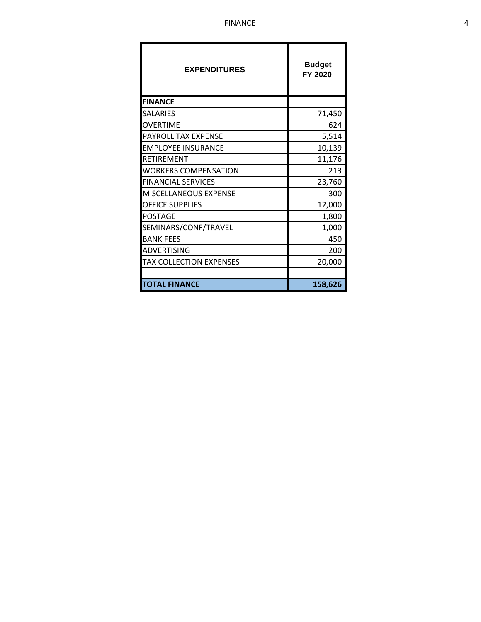| <b>EXPENDITURES</b>            | <b>Budget</b><br>FY 2020 |
|--------------------------------|--------------------------|
| <b>FINANCE</b>                 |                          |
| SALARIES                       | 71,450                   |
| OVERTIME                       | 624                      |
| PAYROLL TAX EXPENSE            | 5,514                    |
| <b>EMPLOYEE INSURANCE</b>      | 10,139                   |
| RETIREMENT                     | 11,176                   |
| WORKERS COMPENSATION           | 213                      |
| <b>FINANCIAL SERVICES</b>      | 23,760                   |
| MISCELLANEOUS EXPENSE          | 300                      |
| <b>OFFICE SUPPLIES</b>         | 12,000                   |
| <b>POSTAGE</b>                 | 1,800                    |
| SEMINARS/CONF/TRAVEL           | 1,000                    |
| <b>BANK FEES</b>               | 450                      |
| ADVERTISING                    | 200                      |
| <b>TAX COLLECTION EXPENSES</b> | 20,000                   |
|                                |                          |
| <b>TOTAL FINANCE</b>           | 158,626                  |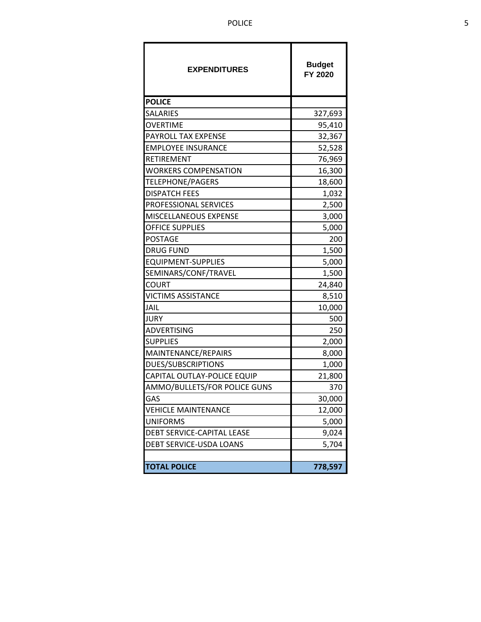| <b>EXPENDITURES</b>          | <b>Budget</b><br>FY 2020 |
|------------------------------|--------------------------|
| <b>POLICE</b>                |                          |
| <b>SALARIES</b>              | 327,693                  |
| OVERTIME                     | 95,410                   |
| PAYROLL TAX EXPENSE          | 32,367                   |
| <b>EMPLOYEE INSURANCE</b>    | 52,528                   |
| RETIREMENT                   | 76,969                   |
| <b>WORKERS COMPENSATION</b>  | 16,300                   |
| TELEPHONE/PAGERS             | 18,600                   |
| <b>DISPATCH FEES</b>         | 1,032                    |
| <b>PROFESSIONAL SERVICES</b> | 2,500                    |
| MISCELLANEOUS EXPENSE        | 3,000                    |
| OFFICE SUPPLIES              | 5,000                    |
| <b>POSTAGE</b>               | 200                      |
| <b>DRUG FUND</b>             | 1,500                    |
| <b>EQUIPMENT-SUPPLIES</b>    | 5,000                    |
| SEMINARS/CONF/TRAVEL         | 1,500                    |
| <b>COURT</b>                 | 24,840                   |
| <b>VICTIMS ASSISTANCE</b>    | 8,510                    |
| JAIL                         | 10,000                   |
| JURY                         | 500                      |
| ADVERTISING                  | 250                      |
| SUPPLIES                     | 2,000                    |
| MAINTENANCE/REPAIRS          | 8,000                    |
| DUES/SUBSCRIPTIONS           | 1,000                    |
| CAPITAL OUTLAY-POLICE EQUIP  | 21,800                   |
| AMMO/BULLETS/FOR POLICE GUNS | 370                      |
| GAS                          | 30,000                   |
| <b>VEHICLE MAINTENANCE</b>   | 12,000                   |
| <b>UNIFORMS</b>              | 5,000                    |
| DEBT SERVICE-CAPITAL LEASE   | 9,024                    |
| DEBT SERVICE-USDA LOANS      | 5,704                    |
|                              |                          |
| <b>TOTAL POLICE</b>          | 778,597                  |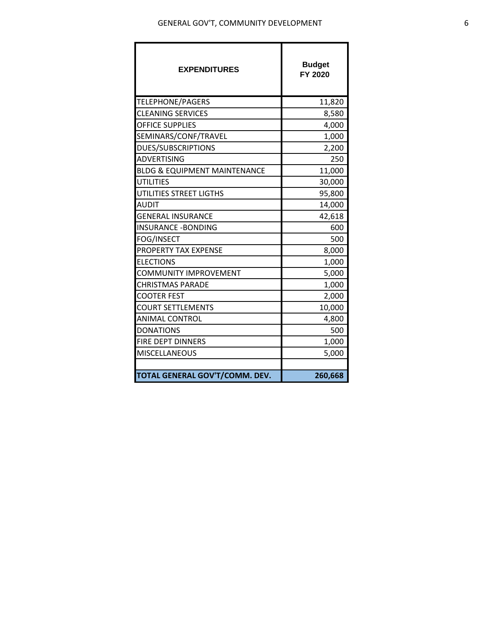| <b>EXPENDITURES</b>                     | <b>Budget</b><br>FY 2020 |
|-----------------------------------------|--------------------------|
| TELEPHONE/PAGERS                        | 11,820                   |
| <b>CLEANING SERVICES</b>                | 8,580                    |
| <b>OFFICE SUPPLIES</b>                  | 4,000                    |
| SEMINARS/CONF/TRAVEL                    | 1,000                    |
| DUES/SUBSCRIPTIONS                      | 2,200                    |
| <b>ADVERTISING</b>                      | 250                      |
| <b>BLDG &amp; EQUIPMENT MAINTENANCE</b> | 11,000                   |
| <b>UTILITIES</b>                        | 30,000                   |
| UTILITIES STREET LIGTHS                 | 95,800                   |
| <b>AUDIT</b>                            | 14,000                   |
| <b>GENERAL INSURANCE</b>                | 42,618                   |
| <b>INSURANCE - BONDING</b>              | 600                      |
| FOG/INSECT                              | 500                      |
| <b>PROPERTY TAX EXPENSE</b>             | 8,000                    |
| <b>ELECTIONS</b>                        | 1,000                    |
| COMMUNITY IMPROVEMENT                   | 5,000                    |
| <b>CHRISTMAS PARADE</b>                 | 1,000                    |
| <b>COOTER FEST</b>                      | 2,000                    |
| <b>COURT SETTLEMENTS</b>                | 10,000                   |
| ANIMAL CONTROL                          | 4,800                    |
| <b>DONATIONS</b>                        | 500                      |
| FIRE DEPT DINNERS                       | 1,000                    |
| <b>MISCELLANEOUS</b>                    | 5,000                    |
|                                         |                          |
| TOTAL GENERAL GOV'T/COMM. DEV.          | 260,668                  |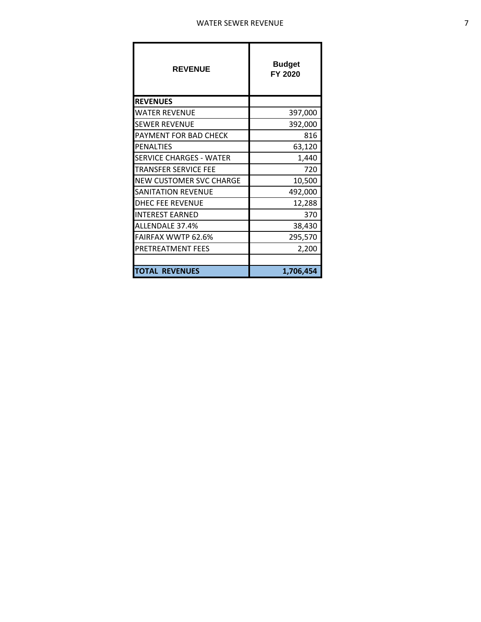| <b>REVENUE</b>                 | <b>Budget</b><br>FY 2020 |
|--------------------------------|--------------------------|
| <b>REVENUES</b>                |                          |
| <b>WATER REVENUE</b>           | 397,000                  |
| <b>SEWER REVENUE</b>           | 392,000                  |
| PAYMENT FOR BAD CHECK          | 816                      |
| <b>PENALTIES</b>               | 63,120                   |
| <b>SERVICE CHARGES - WATER</b> | 1,440                    |
| <b>TRANSFER SERVICE FFE</b>    | 720                      |
| <b>NEW CUSTOMER SVC CHARGE</b> | 10,500                   |
| <b>SANITATION REVENUE</b>      | 492,000                  |
| <b>DHEC FEE REVENUE</b>        | 12,288                   |
| <b>INTEREST EARNED</b>         | 370                      |
| ALLENDALE 37.4%                | 38,430                   |
| <b>FAIRFAX WWTP 62.6%</b>      | 295,570                  |
| PRETREATMENT FEES              | 2,200                    |
|                                |                          |
| <b>TOTAL REVENUES</b>          | 1,706,454                |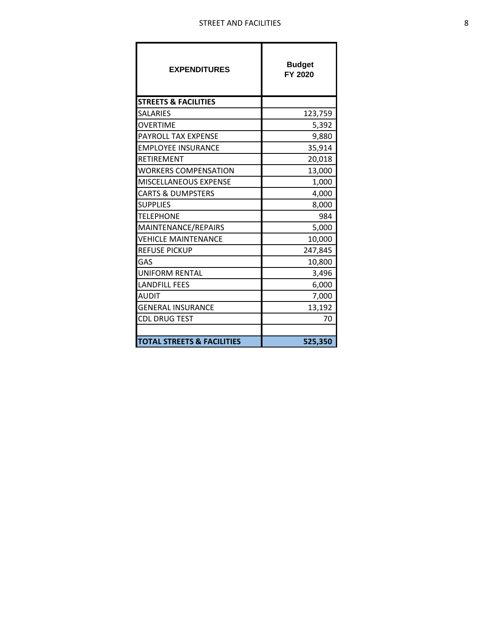| <b>EXPENDITURES</b>                   | <b>Budget</b><br>FY 2020 |
|---------------------------------------|--------------------------|
| <b>STREETS &amp; FACILITIES</b>       |                          |
| <b>SALARIES</b>                       | 123,759                  |
| OVERTIME                              | 5,392                    |
| PAYROLL TAX EXPENSE                   | 9,880                    |
| <b>EMPLOYEE INSURANCE</b>             | 35,914                   |
| RETIREMENT                            | 20,018                   |
| <b>WORKERS COMPENSATION</b>           | 13,000                   |
| MISCELLANEOUS EXPENSE                 | 1,000                    |
| <b>CARTS &amp; DUMPSTERS</b>          | 4,000                    |
| <b>SUPPLIES</b>                       | 8,000                    |
| <b>TELEPHONE</b>                      | 984                      |
| MAINTENANCE/REPAIRS                   | 5,000                    |
| <b>VEHICLE MAINTENANCE</b>            | 10,000                   |
| <b>REFUSE PICKUP</b>                  | 247,845                  |
| GAS                                   | 10,800                   |
| <b>UNIFORM RENTAL</b>                 | 3,496                    |
| <b>LANDFILL FEES</b>                  | 6,000                    |
| <b>AUDIT</b>                          | 7,000                    |
| <b>GENERAL INSURANCE</b>              | 13,192                   |
| <b>CDL DRUG TEST</b>                  | 70                       |
|                                       |                          |
| <b>TOTAL STREETS &amp; FACILITIES</b> | 525,350                  |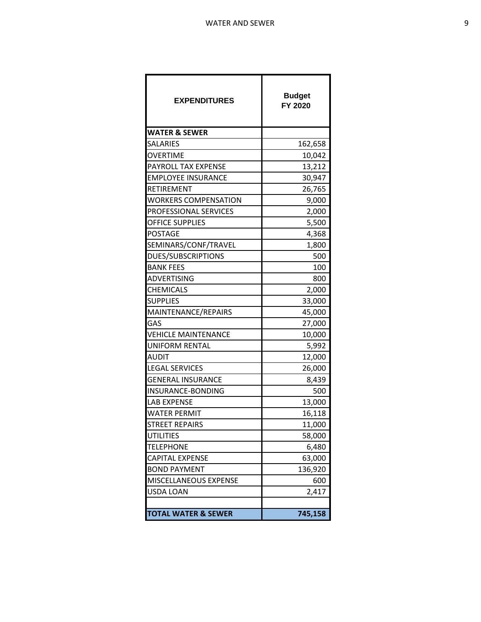| <b>EXPENDITURES</b>            | <b>Budget</b><br>FY 2020 |
|--------------------------------|--------------------------|
| <b>WATER &amp; SEWER</b>       |                          |
| SALARIES                       | 162,658                  |
| <b>OVERTIME</b>                | 10,042                   |
| PAYROLL TAX EXPENSE            | 13,212                   |
| <b>EMPLOYEE INSURANCE</b>      | 30,947                   |
| RETIREMENT                     | 26,765                   |
| <b>WORKERS COMPENSATION</b>    | 9,000                    |
| PROFESSIONAL SERVICES          | 2,000                    |
| OFFICE SUPPLIES                | 5,500                    |
| POSTAGE                        | 4,368                    |
| SEMINARS/CONF/TRAVEL           | 1,800                    |
| DUES/SUBSCRIPTIONS             | 500                      |
| <b>BANK FEES</b>               | 100                      |
| ADVERTISING                    | 800                      |
| CHEMICALS                      | 2,000                    |
| <b>SUPPLIES</b>                | 33,000                   |
| MAINTENANCE/REPAIRS            | 45,000                   |
| GAS                            | 27,000                   |
| <b>VEHICLE MAINTENANCE</b>     | 10,000                   |
| UNIFORM RENTAL                 | 5,992                    |
| <b>AUDIT</b>                   | 12,000                   |
| <b>LEGAL SERVICES</b>          | 26,000                   |
| <b>GENERAL INSURANCE</b>       | 8,439                    |
| INSURANCE-BONDING              | 500                      |
| <b>LAB EXPENSE</b>             | 13,000                   |
| WATER PERMIT                   | 16,118                   |
| STREET REPAIRS                 | 11,000                   |
| UTILITIES                      | 58,000                   |
| <b>TELEPHONE</b>               | 6,480                    |
| CAPITAL EXPENSE                | 63,000                   |
| <b>BOND PAYMENT</b>            | 136,920                  |
| MISCELLANEOUS EXPENSE          | 600                      |
| USDA LOAN                      | 2,417                    |
|                                |                          |
| <b>TOTAL WATER &amp; SEWER</b> | 745,158                  |